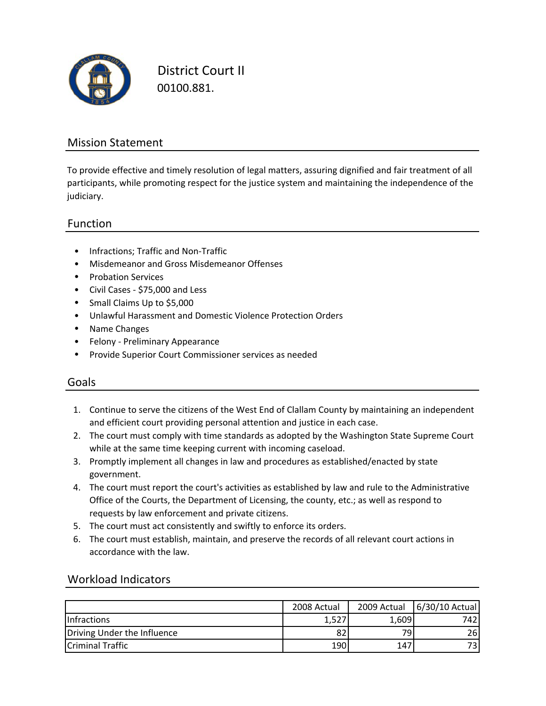

District Court II 00100.881.

### Mission Statement

To provide effective and timely resolution of legal matters, assuring dignified and fair treatment of all participants, while promoting respect for the justice system and maintaining the independence of the judiciary.

### Function

- Infractions; Traffic and Non‐Traffic
- Misdemeanor and Gross Misdemeanor Offenses
- Probation Services
- Civil Cases ‐ \$75,000 and Less
- Small Claims Up to \$5,000
- Unlawful Harassment and Domestic Violence Protection Orders
- Name Changes
- Felony ‐ Preliminary Appearance
- Provide Superior Court Commissioner services as needed

### Goals

- 1. Continue to serve the citizens of the West End of Clallam County by maintaining an independent and efficient court providing personal attention and justice in each case.
- 2. The court must comply with time standards as adopted by the Washington State Supreme Court while at the same time keeping current with incoming caseload.
- 3. Promptly implement all changes in law and procedures as established/enacted by state government.
- 4. The court must report the court's activities as established by law and rule to the Administrative Office of the Courts, the Department of Licensing, the county, etc.; as well as respond to requests by law enforcement and private citizens.
- 5. The court must act consistently and swiftly to enforce its orders.
- 6. The court must establish, maintain, and preserve the records of all relevant court actions in accordance with the law.

#### Workload Indicators

|                             | 2008 Actual | 2009 Actual | 6/30/10 Actual |
|-----------------------------|-------------|-------------|----------------|
| <b>Infractions</b>          | 1,527       | 1,609       | 742            |
| Driving Under the Influence | 82          | 79          | 26I            |
| <b>Criminal Traffic</b>     | 190         | 147         | 731            |